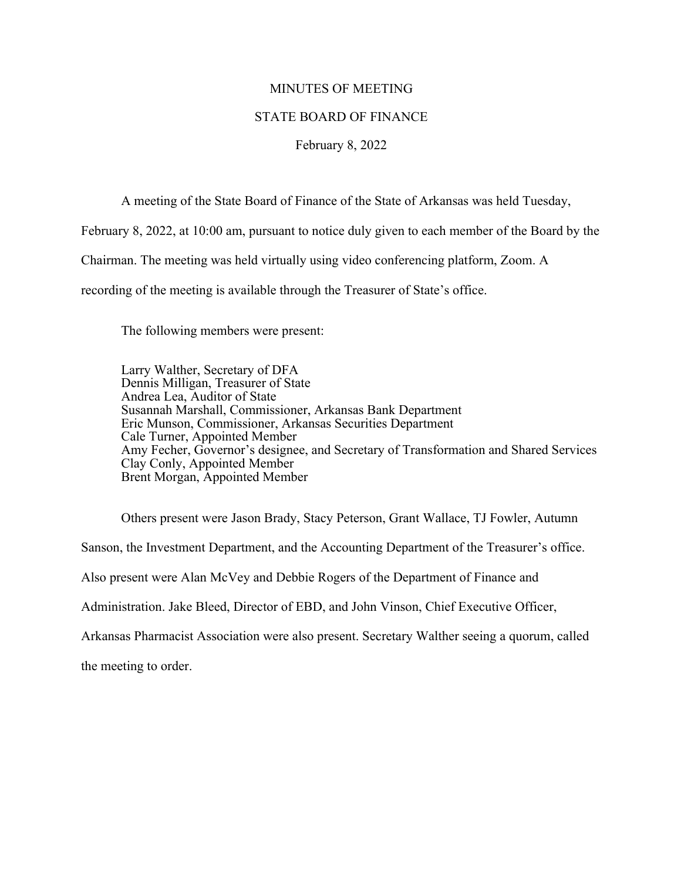## MINUTES OF MEETING

## STATE BOARD OF FINANCE

## February 8, 2022

A meeting of the State Board of Finance of the State of Arkansas was held Tuesday,

February 8, 2022, at 10:00 am, pursuant to notice duly given to each member of the Board by the

Chairman. The meeting was held virtually using video conferencing platform, Zoom. A

recording of the meeting is available through the Treasurer of State's office.

The following members were present:

Larry Walther, Secretary of DFA Dennis Milligan, Treasurer of State Andrea Lea, Auditor of State Susannah Marshall, Commissioner, Arkansas Bank Department Eric Munson, Commissioner, Arkansas Securities Department Cale Turner, Appointed Member Amy Fecher, Governor's designee, and Secretary of Transformation and Shared Services Clay Conly, Appointed Member Brent Morgan, Appointed Member

Others present were Jason Brady, Stacy Peterson, Grant Wallace, TJ Fowler, Autumn Sanson, the Investment Department, and the Accounting Department of the Treasurer's office. Also present were Alan McVey and Debbie Rogers of the Department of Finance and Administration. Jake Bleed, Director of EBD, and John Vinson, Chief Executive Officer, Arkansas Pharmacist Association were also present. Secretary Walther seeing a quorum, called

the meeting to order.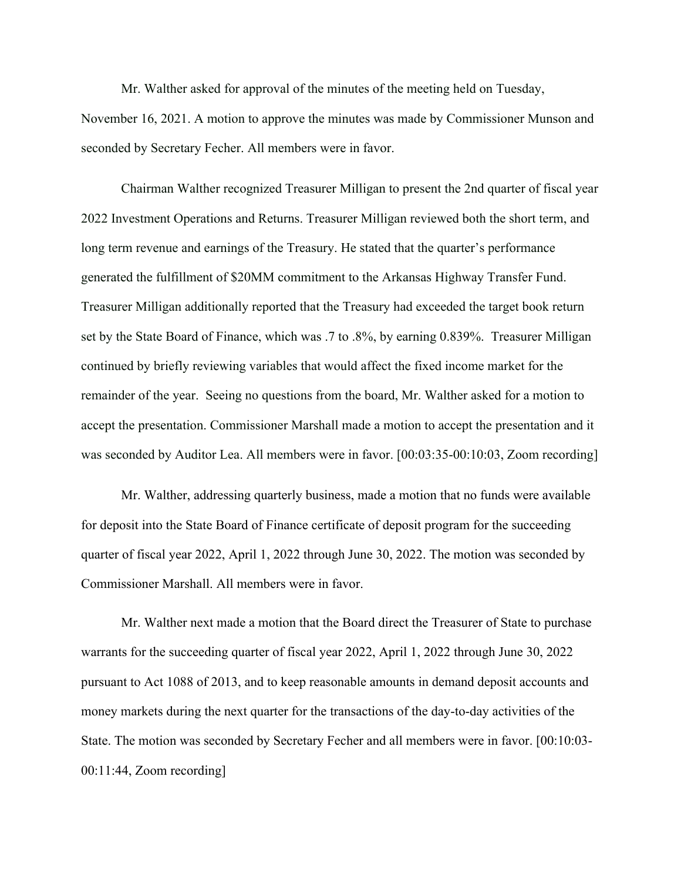Mr. Walther asked for approval of the minutes of the meeting held on Tuesday, November 16, 2021. A motion to approve the minutes was made by Commissioner Munson and seconded by Secretary Fecher. All members were in favor.

Chairman Walther recognized Treasurer Milligan to present the 2nd quarter of fiscal year 2022 Investment Operations and Returns. Treasurer Milligan reviewed both the short term, and long term revenue and earnings of the Treasury. He stated that the quarter's performance generated the fulfillment of \$20MM commitment to the Arkansas Highway Transfer Fund. Treasurer Milligan additionally reported that the Treasury had exceeded the target book return set by the State Board of Finance, which was .7 to .8%, by earning 0.839%. Treasurer Milligan continued by briefly reviewing variables that would affect the fixed income market for the remainder of the year. Seeing no questions from the board, Mr. Walther asked for a motion to accept the presentation. Commissioner Marshall made a motion to accept the presentation and it was seconded by Auditor Lea. All members were in favor. [00:03:35-00:10:03, Zoom recording]

Mr. Walther, addressing quarterly business, made a motion that no funds were available for deposit into the State Board of Finance certificate of deposit program for the succeeding quarter of fiscal year 2022, April 1, 2022 through June 30, 2022. The motion was seconded by Commissioner Marshall. All members were in favor.

Mr. Walther next made a motion that the Board direct the Treasurer of State to purchase warrants for the succeeding quarter of fiscal year 2022, April 1, 2022 through June 30, 2022 pursuant to Act 1088 of 2013, and to keep reasonable amounts in demand deposit accounts and money markets during the next quarter for the transactions of the day-to-day activities of the State. The motion was seconded by Secretary Fecher and all members were in favor. [00:10:03- 00:11:44, Zoom recording]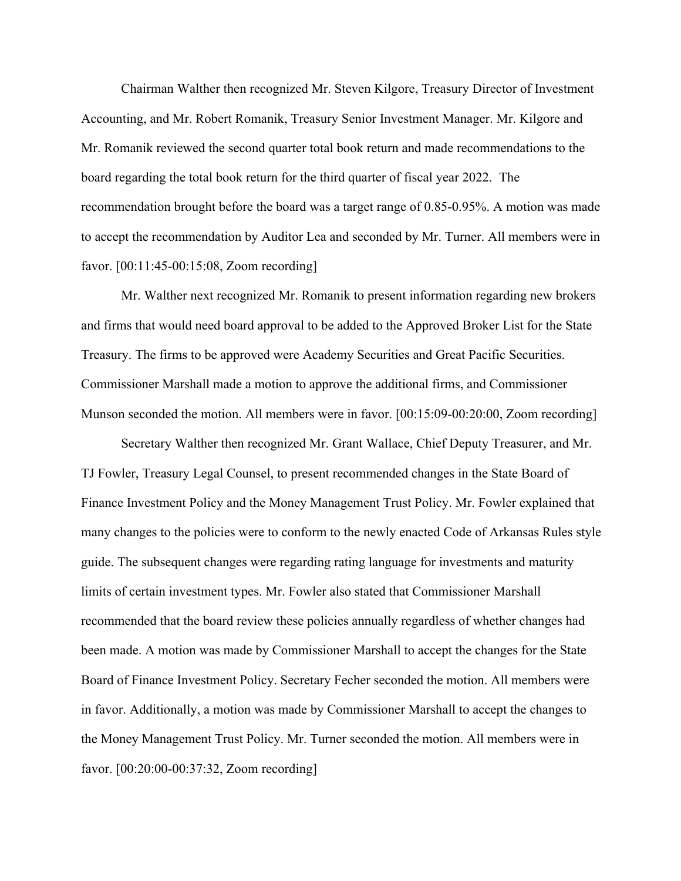Chairman Walther then recognized Mr. Steven Kilgore, Treasury Director of Investment Accounting, and Mr. Robert Romanik, Treasury Senior Investment Manager. Mr. Kilgore and Mr. Romanik reviewed the second quarter total book return and made recommendations to the board regarding the total book return for the third quarter of fiscal year 2022. The recommendation brought before the board was a target range of 0.85-0.95%. A motion was made to accept the recommendation by Auditor Lea and seconded by Mr. Turner. All members were in favor. [00:11:45-00:15:08, Zoom recording]

Mr. Walther next recognized Mr. Romanik to present information regarding new brokers and firms that would need board approval to be added to the Approved Broker List for the State Treasury. The firms to be approved were Academy Securities and Great Pacific Securities. Commissioner Marshall made a motion to approve the additional firms, and Commissioner Munson seconded the motion. All members were in favor. [00:15:09-00:20:00, Zoom recording]

Secretary Walther then recognized Mr. Grant Wallace, Chief Deputy Treasurer, and Mr. TJ Fowler, Treasury Legal Counsel, to present recommended changes in the State Board of Finance Investment Policy and the Money Management Trust Policy. Mr. Fowler explained that many changes to the policies were to conform to the newly enacted Code of Arkansas Rules style guide. The subsequent changes were regarding rating language for investments and maturity limits of certain investment types. Mr. Fowler also stated that Commissioner Marshall recommended that the board review these policies annually regardless of whether changes had been made. A motion was made by Commissioner Marshall to accept the changes for the State Board of Finance Investment Policy. Secretary Fecher seconded the motion. All members were in favor. Additionally, a motion was made by Commissioner Marshall to accept the changes to the Money Management Trust Policy. Mr. Turner seconded the motion. All members were in favor. [00:20:00-00:37:32, Zoom recording]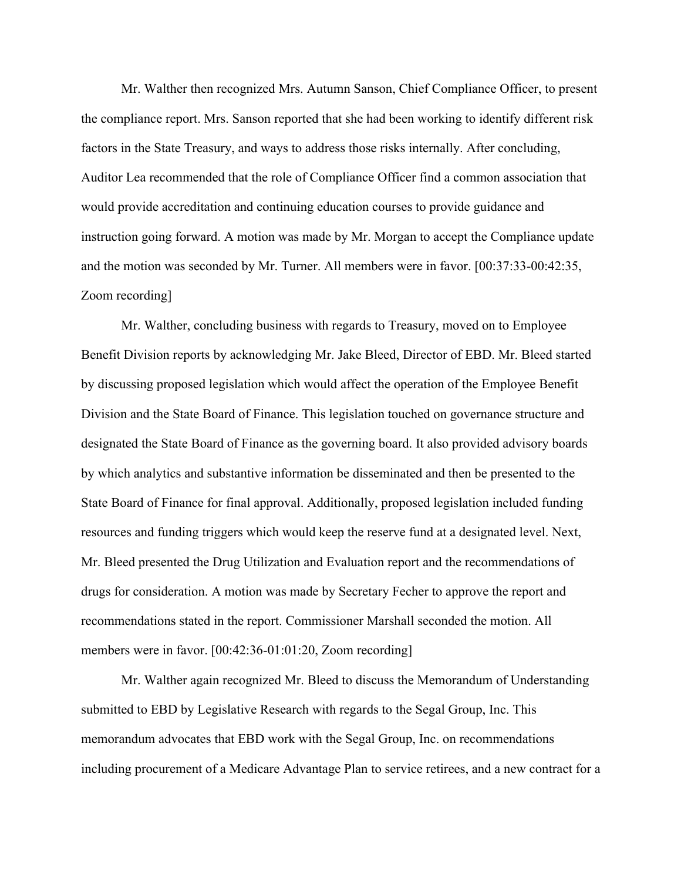Mr. Walther then recognized Mrs. Autumn Sanson, Chief Compliance Officer, to present the compliance report. Mrs. Sanson reported that she had been working to identify different risk factors in the State Treasury, and ways to address those risks internally. After concluding, Auditor Lea recommended that the role of Compliance Officer find a common association that would provide accreditation and continuing education courses to provide guidance and instruction going forward. A motion was made by Mr. Morgan to accept the Compliance update and the motion was seconded by Mr. Turner. All members were in favor. [00:37:33-00:42:35, Zoom recording]

Mr. Walther, concluding business with regards to Treasury, moved on to Employee Benefit Division reports by acknowledging Mr. Jake Bleed, Director of EBD. Mr. Bleed started by discussing proposed legislation which would affect the operation of the Employee Benefit Division and the State Board of Finance. This legislation touched on governance structure and designated the State Board of Finance as the governing board. It also provided advisory boards by which analytics and substantive information be disseminated and then be presented to the State Board of Finance for final approval. Additionally, proposed legislation included funding resources and funding triggers which would keep the reserve fund at a designated level. Next, Mr. Bleed presented the Drug Utilization and Evaluation report and the recommendations of drugs for consideration. A motion was made by Secretary Fecher to approve the report and recommendations stated in the report. Commissioner Marshall seconded the motion. All members were in favor. [00:42:36-01:01:20, Zoom recording]

Mr. Walther again recognized Mr. Bleed to discuss the Memorandum of Understanding submitted to EBD by Legislative Research with regards to the Segal Group, Inc. This memorandum advocates that EBD work with the Segal Group, Inc. on recommendations including procurement of a Medicare Advantage Plan to service retirees, and a new contract for a